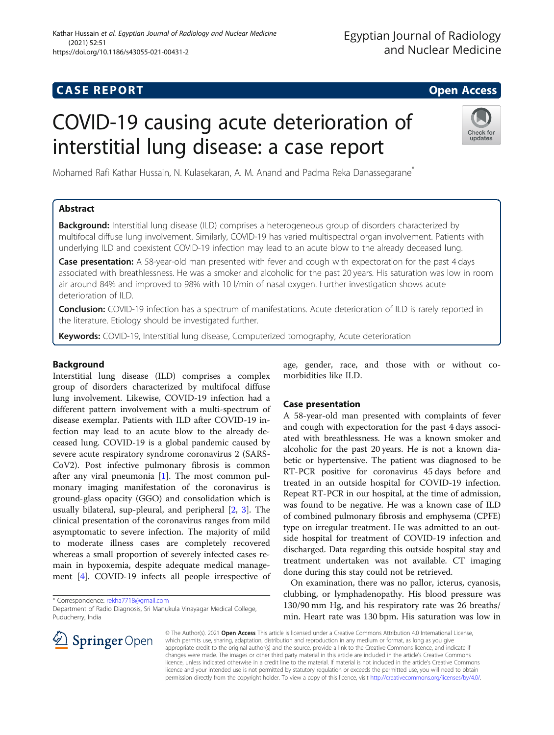# **CASE REPORT And SERVICE SERVICE SERVICE SERVICE SERVICE SERVICE SERVICE SERVICE SERVICE SERVICE SERVICE SERVICE**

# COVID-19 causing acute deterioration of interstitial lung disease: a case report



Mohamed Rafi Kathar Hussain, N. Kulasekaran, A. M. Anand and Padma Reka Danassegarane\*

# Abstract

**Background:** Interstitial lung disease (ILD) comprises a heterogeneous group of disorders characterized by multifocal diffuse lung involvement. Similarly, COVID-19 has varied multispectral organ involvement. Patients with underlying ILD and coexistent COVID-19 infection may lead to an acute blow to the already deceased lung.

**Case presentation:** A 58-year-old man presented with fever and cough with expectoration for the past 4 days associated with breathlessness. He was a smoker and alcoholic for the past 20 years. His saturation was low in room air around 84% and improved to 98% with 10 l/min of nasal oxygen. Further investigation shows acute deterioration of ILD.

Conclusion: COVID-19 infection has a spectrum of manifestations. Acute deterioration of ILD is rarely reported in the literature. Etiology should be investigated further.

Keywords: COVID-19, Interstitial lung disease, Computerized tomography, Acute deterioration

# Background

Interstitial lung disease (ILD) comprises a complex group of disorders characterized by multifocal diffuse lung involvement. Likewise, COVID-19 infection had a different pattern involvement with a multi-spectrum of disease exemplar. Patients with ILD after COVID-19 infection may lead to an acute blow to the already deceased lung. COVID-19 is a global pandemic caused by severe acute respiratory syndrome coronavirus 2 (SARS-CoV2). Post infective pulmonary fibrosis is common after any viral pneumonia [[1](#page-3-0)]. The most common pulmonary imaging manifestation of the coronavirus is ground-glass opacity (GGO) and consolidation which is usually bilateral, sup-pleural, and peripheral [[2,](#page-3-0) [3\]](#page-3-0). The clinical presentation of the coronavirus ranges from mild asymptomatic to severe infection. The majority of mild to moderate illness cases are completely recovered whereas a small proportion of severely infected cases remain in hypoxemia, despite adequate medical management [\[4](#page-3-0)]. COVID-19 infects all people irrespective of

\* Correspondence: [rekha7718@gmail.com](mailto:rekha7718@gmail.com)

age, gender, race, and those with or without comorbidities like ILD.

# Case presentation

A 58-year-old man presented with complaints of fever and cough with expectoration for the past 4 days associated with breathlessness. He was a known smoker and alcoholic for the past 20 years. He is not a known diabetic or hypertensive. The patient was diagnosed to be RT-PCR positive for coronavirus 45 days before and treated in an outside hospital for COVID-19 infection. Repeat RT-PCR in our hospital, at the time of admission, was found to be negative. He was a known case of ILD of combined pulmonary fibrosis and emphysema (CPFE) type on irregular treatment. He was admitted to an outside hospital for treatment of COVID-19 infection and discharged. Data regarding this outside hospital stay and treatment undertaken was not available. CT imaging done during this stay could not be retrieved.

On examination, there was no pallor, icterus, cyanosis, clubbing, or lymphadenopathy. His blood pressure was 130/90 mm Hg, and his respiratory rate was 26 breaths/ min. Heart rate was 130 bpm. His saturation was low in



© The Author(s). 2021 Open Access This article is licensed under a Creative Commons Attribution 4.0 International License, which permits use, sharing, adaptation, distribution and reproduction in any medium or format, as long as you give appropriate credit to the original author(s) and the source, provide a link to the Creative Commons licence, and indicate if changes were made. The images or other third party material in this article are included in the article's Creative Commons licence, unless indicated otherwise in a credit line to the material. If material is not included in the article's Creative Commons licence and your intended use is not permitted by statutory regulation or exceeds the permitted use, you will need to obtain permission directly from the copyright holder. To view a copy of this licence, visit <http://creativecommons.org/licenses/by/4.0/>.

Department of Radio Diagnosis, Sri Manukula Vinayagar Medical College, Puducherry, India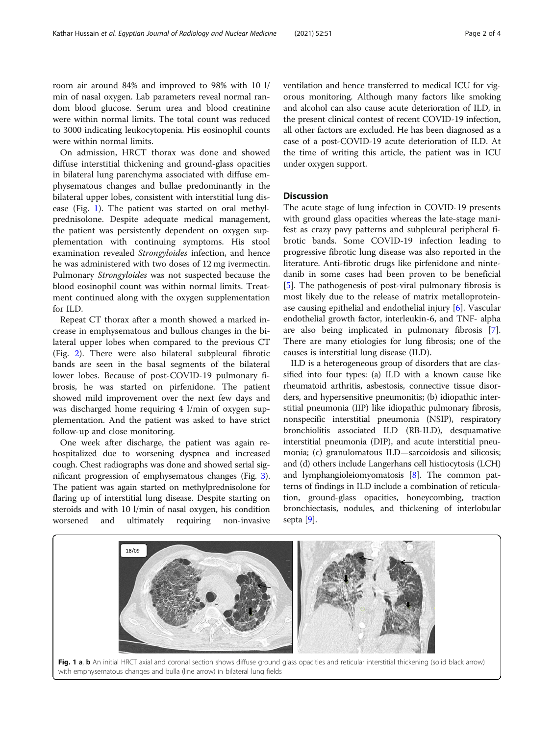room air around 84% and improved to 98% with 10 l/ min of nasal oxygen. Lab parameters reveal normal random blood glucose. Serum urea and blood creatinine were within normal limits. The total count was reduced to 3000 indicating leukocytopenia. His eosinophil counts were within normal limits.

On admission, HRCT thorax was done and showed diffuse interstitial thickening and ground-glass opacities in bilateral lung parenchyma associated with diffuse emphysematous changes and bullae predominantly in the bilateral upper lobes, consistent with interstitial lung disease (Fig. 1). The patient was started on oral methylprednisolone. Despite adequate medical management, the patient was persistently dependent on oxygen supplementation with continuing symptoms. His stool examination revealed Strongyloides infection, and hence he was administered with two doses of 12 mg ivermectin. Pulmonary Strongyloides was not suspected because the blood eosinophil count was within normal limits. Treatment continued along with the oxygen supplementation for ILD.

Repeat CT thorax after a month showed a marked increase in emphysematous and bullous changes in the bilateral upper lobes when compared to the previous CT (Fig. [2](#page-2-0)). There were also bilateral subpleural fibrotic bands are seen in the basal segments of the bilateral lower lobes. Because of post-COVID-19 pulmonary fibrosis, he was started on pirfenidone. The patient showed mild improvement over the next few days and was discharged home requiring 4 l/min of oxygen supplementation. And the patient was asked to have strict follow-up and close monitoring.

One week after discharge, the patient was again rehospitalized due to worsening dyspnea and increased cough. Chest radiographs was done and showed serial significant progression of emphysematous changes (Fig. [3](#page-2-0)). The patient was again started on methylprednisolone for flaring up of interstitial lung disease. Despite starting on steroids and with 10 l/min of nasal oxygen, his condition worsened and ultimately requiring non-invasive ventilation and hence transferred to medical ICU for vigorous monitoring. Although many factors like smoking and alcohol can also cause acute deterioration of ILD, in the present clinical contest of recent COVID-19 infection, all other factors are excluded. He has been diagnosed as a case of a post-COVID-19 acute deterioration of ILD. At the time of writing this article, the patient was in ICU under oxygen support.

#### **Discussion**

The acute stage of lung infection in COVID-19 presents with ground glass opacities whereas the late-stage manifest as crazy pavy patterns and subpleural peripheral fibrotic bands. Some COVID-19 infection leading to progressive fibrotic lung disease was also reported in the literature. Anti-fibrotic drugs like pirfenidone and nintedanib in some cases had been proven to be beneficial [[5\]](#page-3-0). The pathogenesis of post-viral pulmonary fibrosis is most likely due to the release of matrix metalloproteinase causing epithelial and endothelial injury [\[6\]](#page-3-0). Vascular endothelial growth factor, interleukin-6, and TNF- alpha are also being implicated in pulmonary fibrosis [\[7](#page-3-0)]. There are many etiologies for lung fibrosis; one of the causes is interstitial lung disease (ILD).

ILD is a heterogeneous group of disorders that are classified into four types: (a) ILD with a known cause like rheumatoid arthritis, asbestosis, connective tissue disorders, and hypersensitive pneumonitis; (b) idiopathic interstitial pneumonia (IIP) like idiopathic pulmonary fibrosis, nonspecific interstitial pneumonia (NSIP), respiratory bronchiolitis associated ILD (RB-ILD), desquamative interstitial pneumonia (DIP), and acute interstitial pneumonia; (c) granulomatous ILD—sarcoidosis and silicosis; and (d) others include Langerhans cell histiocytosis (LCH) and lymphangioleiomyomatosis [\[8](#page-3-0)]. The common patterns of findings in ILD include a combination of reticulation, ground-glass opacities, honeycombing, traction bronchiectasis, nodules, and thickening of interlobular septa [\[9\]](#page-3-0).



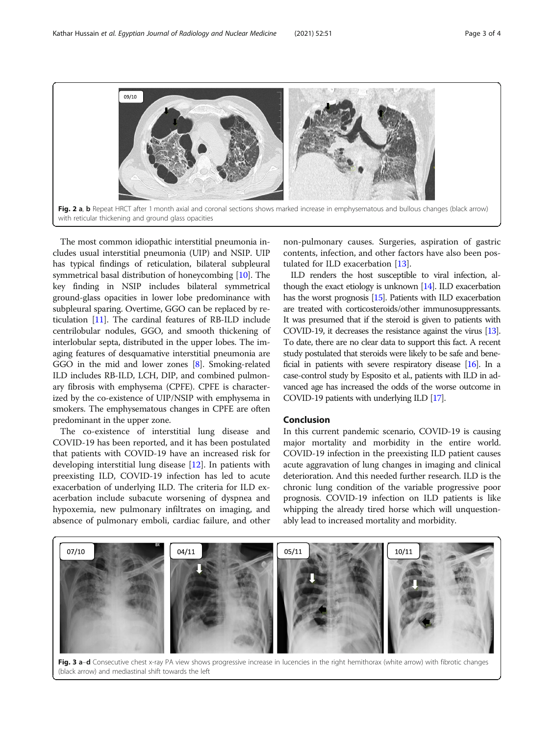<span id="page-2-0"></span>

The most common idiopathic interstitial pneumonia includes usual interstitial pneumonia (UIP) and NSIP. UIP has typical findings of reticulation, bilateral subpleural symmetrical basal distribution of honeycombing [[10](#page-3-0)]. The key finding in NSIP includes bilateral symmetrical ground-glass opacities in lower lobe predominance with subpleural sparing. Overtime, GGO can be replaced by reticulation [\[11\]](#page-3-0). The cardinal features of RB-ILD include centrilobular nodules, GGO, and smooth thickening of interlobular septa, distributed in the upper lobes. The imaging features of desquamative interstitial pneumonia are GGO in the mid and lower zones [[8\]](#page-3-0). Smoking-related ILD includes RB-ILD, LCH, DIP, and combined pulmonary fibrosis with emphysema (CPFE). CPFE is characterized by the co-existence of UIP/NSIP with emphysema in smokers. The emphysematous changes in CPFE are often predominant in the upper zone.

The co-existence of interstitial lung disease and COVID-19 has been reported, and it has been postulated that patients with COVID-19 have an increased risk for developing interstitial lung disease [\[12\]](#page-3-0). In patients with preexisting ILD, COVID-19 infection has led to acute exacerbation of underlying ILD. The criteria for ILD exacerbation include subacute worsening of dyspnea and hypoxemia, new pulmonary infiltrates on imaging, and absence of pulmonary emboli, cardiac failure, and other non-pulmonary causes. Surgeries, aspiration of gastric contents, infection, and other factors have also been postulated for ILD exacerbation [\[13](#page-3-0)].

ILD renders the host susceptible to viral infection, although the exact etiology is unknown  $[14]$ . ILD exacerbation has the worst prognosis [\[15](#page-3-0)]. Patients with ILD exacerbation are treated with corticosteroids/other immunosuppressants. It was presumed that if the steroid is given to patients with COVID-19, it decreases the resistance against the virus [\[13\]](#page-3-0). To date, there are no clear data to support this fact. A recent study postulated that steroids were likely to be safe and beneficial in patients with severe respiratory disease [[16\]](#page-3-0). In a case-control study by Esposito et al., patients with ILD in advanced age has increased the odds of the worse outcome in COVID-19 patients with underlying ILD [\[17\]](#page-3-0).

## Conclusion

In this current pandemic scenario, COVID-19 is causing major mortality and morbidity in the entire world. COVID-19 infection in the preexisting ILD patient causes acute aggravation of lung changes in imaging and clinical deterioration. And this needed further research. ILD is the chronic lung condition of the variable progressive poor prognosis. COVID-19 infection on ILD patients is like whipping the already tired horse which will unquestionably lead to increased mortality and morbidity.



Fig. 3 a-d Consecutive chest x-ray PA view shows progressive increase in lucencies in the right hemithorax (white arrow) with fibrotic changes (black arrow) and mediastinal shift towards the left